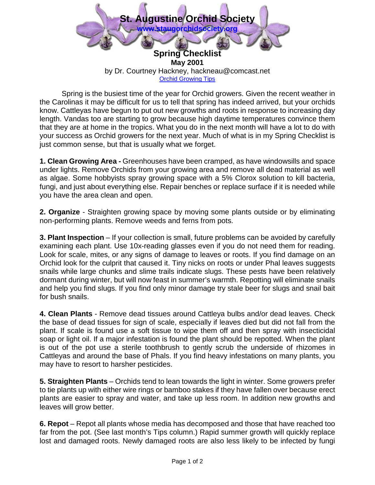

[Orchid Growing Tips](http://roseg4art.com/Orchid-Growing-Tips.htm)

Spring is the busiest time of the year for Orchid growers. Given the recent weather in the Carolinas it may be difficult for us to tell that spring has indeed arrived, but your orchids know. Cattleyas have begun to put out new growths and roots in response to increasing day length. Vandas too are starting to grow because high daytime temperatures convince them that they are at home in the tropics. What you do in the next month will have a lot to do with your success as Orchid growers for the next year. Much of what is in my Spring Checklist is just common sense, but that is usually what we forget.

**1. Clean Growing Area -** Greenhouses have been cramped, as have windowsills and space under lights. Remove Orchids from your growing area and remove all dead material as well as algae. Some hobbyists spray growing space with a 5% Clorox solution to kill bacteria, fungi, and just about everything else. Repair benches or replace surface if it is needed while you have the area clean and open.

**2. Organize** - Straighten growing space by moving some plants outside or by eliminating non-performing plants. Remove weeds and ferns from pots.

**3. Plant Inspection** – If your collection is small, future problems can be avoided by carefully examining each plant. Use 10x-reading glasses even if you do not need them for reading. Look for scale, mites, or any signs of damage to leaves or roots. If you find damage on an Orchid look for the culprit that caused it. Tiny nicks on roots or under Phal leaves suggests snails while large chunks and slime trails indicate slugs. These pests have been relatively dormant during winter, but will now feast in summer's warmth. Repotting will eliminate snails and help you find slugs. If you find only minor damage try stale beer for slugs and snail bait for bush snails.

**4. Clean Plants** - Remove dead tissues around Cattleya bulbs and/or dead leaves. Check the base of dead tissues for sign of scale, especially if leaves died but did not fall from the plant. If scale is found use a soft tissue to wipe them off and then spray with insecticidal soap or light oil. If a major infestation is found the plant should be repotted. When the plant is out of the pot use a sterile toothbrush to gently scrub the underside of rhizomes in Cattleyas and around the base of Phals. If you find heavy infestations on many plants, you may have to resort to harsher pesticides.

**5. Straighten Plants** – Orchids tend to lean towards the light in winter. Some growers prefer to tie plants up with either wire rings or bamboo stakes if they have fallen over because erect plants are easier to spray and water, and take up less room. In addition new growths and leaves will grow better.

**6. Repot** – Repot all plants whose media has decomposed and those that have reached too far from the pot. (See last month's Tips column.) Rapid summer growth will quickly replace lost and damaged roots. Newly damaged roots are also less likely to be infected by fungi